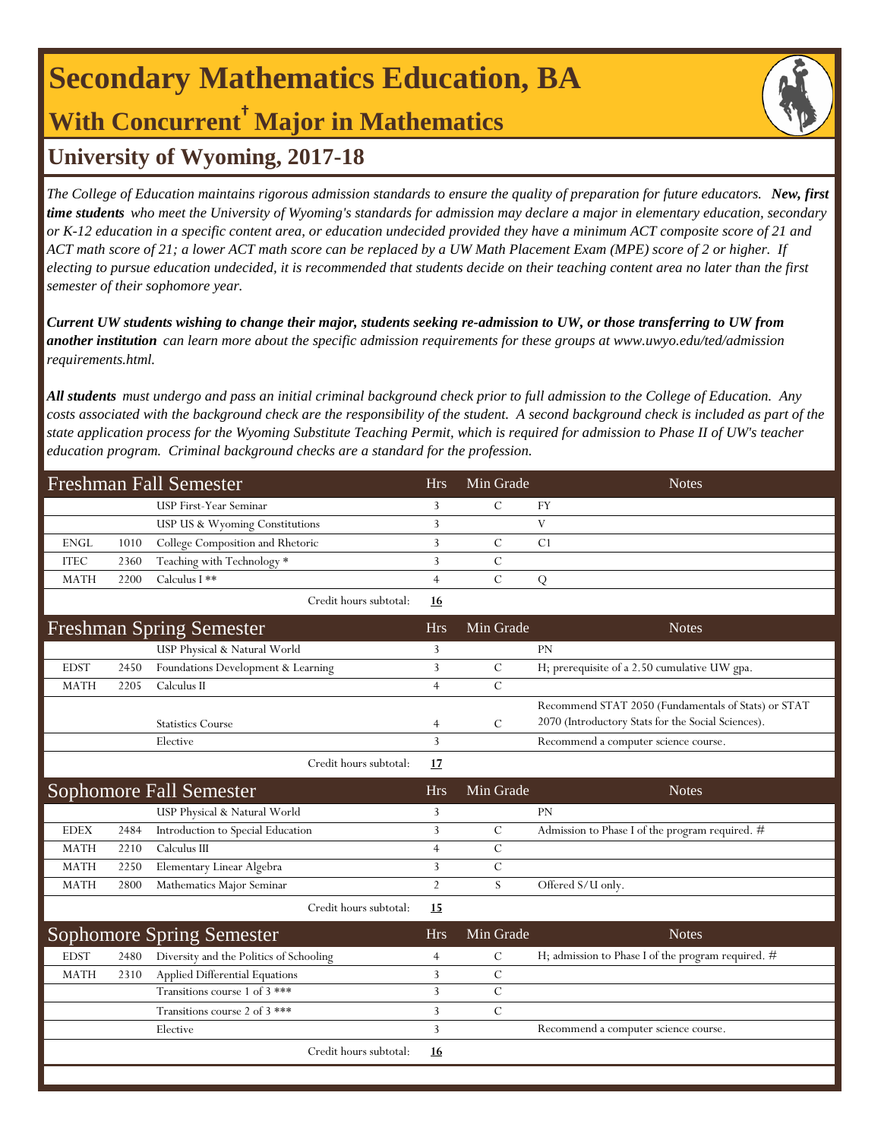# **Secondary Mathematics Education, BA**

## **With Concurrent† Major in Mathematics**

### **University of Wyoming, 2017-18**

*The College of Education maintains rigorous admission standards to ensure the quality of preparation for future educators. New, first time students who meet the University of Wyoming's standards for admission may declare a major in elementary education, secondary or K-12 education in a specific content area, or education undecided provided they have a minimum ACT composite score of 21 and ACT math score of 21; a lower ACT math score can be replaced by a UW Math Placement Exam (MPE) score of 2 or higher. If electing to pursue education undecided, it is recommended that students decide on their teaching content area no later than the first semester of their sophomore year.*

*Current UW students wishing to change their major, students seeking re-admission to UW, or those transferring to UW from another institution can learn more about the specific admission requirements for these groups at www.uwyo.edu/ted/admission requirements.html.* 

*All students must undergo and pass an initial criminal background check prior to full admission to the College of Education. Any costs associated with the background check are the responsibility of the student. A second background check is included as part of the state application process for the Wyoming Substitute Teaching Permit, which is required for admission to Phase II of UW's teacher education program. Criminal background checks are a standard for the profession.*

| <b>Freshman Fall Semester</b> |      |                                         |                | Min Grade     | <b>Notes</b>                                        |
|-------------------------------|------|-----------------------------------------|----------------|---------------|-----------------------------------------------------|
|                               |      | USP First-Year Seminar                  | 3              | $\mathcal{C}$ | FY                                                  |
|                               |      | USP US & Wyoming Constitutions          | $\overline{3}$ |               | $\mathbf{V}$                                        |
| <b>ENGL</b>                   | 1010 | College Composition and Rhetoric        | 3              | $\mathcal{C}$ | C <sub>1</sub>                                      |
| <b>ITEC</b>                   | 2360 | Teaching with Technology *              | 3              | $\mathcal{C}$ |                                                     |
| <b>MATH</b>                   | 2200 | Calculus I **                           | $\overline{4}$ | $\mathcal{C}$ | Q                                                   |
|                               |      | Credit hours subtotal:                  | 16             |               |                                                     |
|                               |      | <b>Freshman Spring Semester</b>         | <b>Hrs</b>     | Min Grade     | <b>Notes</b>                                        |
|                               |      | USP Physical & Natural World            | 3              |               | PN                                                  |
| <b>EDST</b>                   | 2450 | Foundations Development & Learning      | 3              | $\mathcal{C}$ | H; prerequisite of a 2.50 cumulative UW gpa.        |
| <b>MATH</b>                   | 2205 | Calculus II                             | $\overline{4}$ | $\mathbf C$   |                                                     |
|                               |      |                                         |                |               | Recommend STAT 2050 (Fundamentals of Stats) or STAT |
|                               |      | <b>Statistics Course</b>                | $\overline{4}$ | $\mathcal{C}$ | 2070 (Introductory Stats for the Social Sciences).  |
|                               |      | Elective                                | $\overline{3}$ |               | Recommend a computer science course.                |
|                               |      | Credit hours subtotal:                  | 17             |               |                                                     |
|                               |      | <b>Sophomore Fall Semester</b>          | <b>Hrs</b>     | Min Grade     | <b>Notes</b>                                        |
|                               |      | USP Physical & Natural World            | 3              |               | PN                                                  |
| <b>EDEX</b>                   | 2484 | Introduction to Special Education       | 3              | $\mathcal{C}$ | Admission to Phase I of the program required. #     |
|                               |      |                                         |                |               |                                                     |
| <b>MATH</b>                   | 2210 | Calculus III                            | $\overline{4}$ | $\mathcal{C}$ |                                                     |
| <b>MATH</b>                   | 2250 | Elementary Linear Algebra               | 3              | $\mathbf C$   |                                                     |
| <b>MATH</b>                   | 2800 | Mathematics Major Seminar               | $\overline{2}$ | S.            | Offered S/U only.                                   |
|                               |      | Credit hours subtotal:                  | 15             |               |                                                     |
|                               |      | <b>Sophomore Spring Semester</b>        | <b>Hrs</b>     | Min Grade     | <b>Notes</b>                                        |
| <b>EDST</b>                   | 2480 | Diversity and the Politics of Schooling | $\overline{4}$ | $\mathcal{C}$ | H; admission to Phase I of the program required. #  |
| <b>MATH</b>                   | 2310 | Applied Differential Equations          | 3              | C             |                                                     |
|                               |      | Transitions course 1 of 3 ***           | 3              | $\mathcal{C}$ |                                                     |
|                               |      | Transitions course 2 of 3 ***           | 3              | $\mathcal{C}$ |                                                     |
|                               |      | Elective                                | $\overline{3}$ |               | Recommend a computer science course.                |
|                               |      | Credit hours subtotal:                  | 16             |               |                                                     |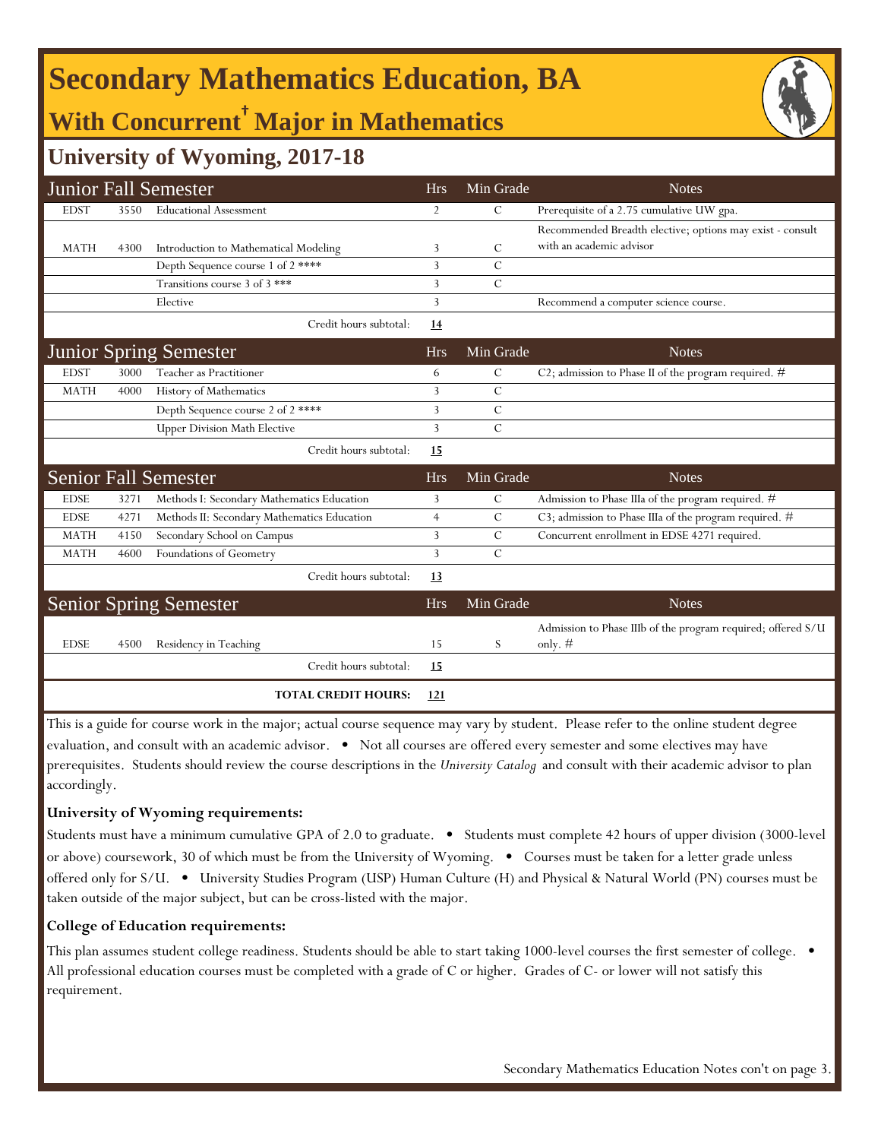# **Secondary Mathematics Education, BA**

## **With Concurrent† Major in Mathematics**

### **University of Wyoming, 2017-18**

|             |      | <b>Junior Fall Semester</b>                 | <b>Hrs</b>     | Min Grade     | <b>Notes</b>                                                              |
|-------------|------|---------------------------------------------|----------------|---------------|---------------------------------------------------------------------------|
| <b>EDST</b> | 3550 | <b>Educational Assessment</b>               | 2              | $\mathcal{C}$ | Prerequisite of a 2.75 cumulative UW gpa.                                 |
|             |      |                                             |                |               | Recommended Breadth elective; options may exist - consult                 |
| <b>MATH</b> | 4300 | Introduction to Mathematical Modeling       | 3              | C             | with an academic advisor                                                  |
|             |      | Depth Sequence course 1 of 2 ****           | 3              | $\mathcal{C}$ |                                                                           |
|             |      | Transitions course 3 of 3 ***               | 3              | $\mathcal{C}$ |                                                                           |
|             |      | Elective                                    | 3              |               | Recommend a computer science course.                                      |
|             |      | Credit hours subtotal:                      | 14             |               |                                                                           |
|             |      | <b>Junior Spring Semester</b>               | <b>Hrs</b>     | Min Grade     | <b>Notes</b>                                                              |
| <b>EDST</b> | 3000 | Teacher as Practitioner                     | 6              | $\mathcal{C}$ | C2; admission to Phase II of the program required. $#$                    |
| <b>MATH</b> | 4000 | History of Mathematics                      | 3              | $\mathcal{C}$ |                                                                           |
|             |      | Depth Sequence course 2 of 2****            | 3              | $\mathcal{C}$ |                                                                           |
|             |      | <b>Upper Division Math Elective</b>         | 3              | $\mathcal{C}$ |                                                                           |
|             |      | Credit hours subtotal:                      | 15             |               |                                                                           |
|             |      | <b>Senior Fall Semester</b>                 | <b>Hrs</b>     | Min Grade     | <b>Notes</b>                                                              |
| <b>EDSE</b> | 3271 | Methods I: Secondary Mathematics Education  | 3              | $\mathcal{C}$ | Admission to Phase IIIa of the program required. #                        |
| <b>EDSE</b> | 4271 | Methods II: Secondary Mathematics Education | $\overline{4}$ | C             | C3; admission to Phase IIIa of the program required. #                    |
| <b>MATH</b> | 4150 | Secondary School on Campus                  | 3              | $\mathcal{C}$ | Concurrent enrollment in EDSE 4271 required.                              |
| <b>MATH</b> | 4600 | Foundations of Geometry                     | 3              | $\mathcal{C}$ |                                                                           |
|             |      | Credit hours subtotal:                      | 13             |               |                                                                           |
|             |      | <b>Senior Spring Semester</b>               | <b>Hrs</b>     | Min Grade     | <b>Notes</b>                                                              |
| <b>EDSE</b> | 4500 | Residency in Teaching                       | 15             | S             | Admission to Phase IIIb of the program required; offered S/U<br>only. $#$ |
|             |      | Credit hours subtotal:                      | <u>15</u>      |               |                                                                           |
|             |      | <b>TOTAL CREDIT HOURS:</b>                  | 121            |               |                                                                           |

This is a guide for course work in the major; actual course sequence may vary by student. Please refer to the online student degree evaluation, and consult with an academic advisor. • Not all courses are offered every semester and some electives may have prerequisites. Students should review the course descriptions in the *University Catalog* and consult with their academic advisor to plan accordingly.

#### **University of Wyoming requirements:**

Students must have a minimum cumulative GPA of 2.0 to graduate. • Students must complete 42 hours of upper division (3000-level or above) coursework, 30 of which must be from the University of Wyoming. • Courses must be taken for a letter grade unless offered only for S/U. • University Studies Program (USP) Human Culture (H) and Physical & Natural World (PN) courses must be taken outside of the major subject, but can be cross-listed with the major.

#### **College of Education requirements:**

This plan assumes student college readiness. Students should be able to start taking 1000-level courses the first semester of college. All professional education courses must be completed with a grade of C or higher. Grades of C- or lower will not satisfy this requirement.